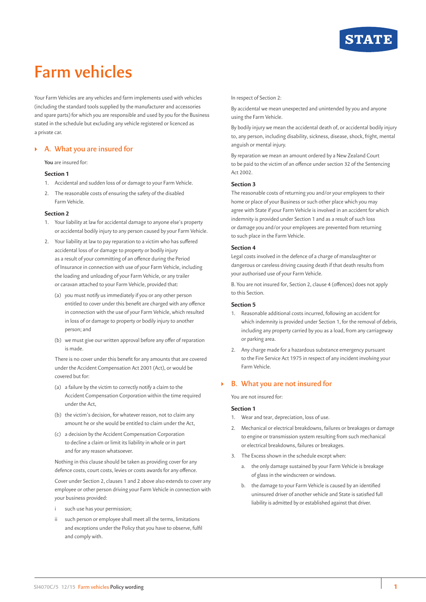

# **Farm vehicles**

Your Farm Vehicles are any vehicles and farm implements used with vehicles (including the standard tools supplied by the manufacturer and accessories and spare parts) for which you are responsible and used by you for the Business stated in the schedule but excluding any vehicle registered or licenced as a private car.

## ` **A. What you are insured for**

#### **You** are insured for:

## **Section 1**

- 1. Accidental and sudden loss of or damage to your Farm Vehicle.
- 2. The reasonable costs of ensuring the safety of the disabled Farm Vehicle.

## **Section 2**

- 1. Your liability at law for accidental damage to anyone else's property or accidental bodily injury to any person caused by your Farm Vehicle.
- 2. Your liability at law to pay reparation to a victim who has suffered accidental loss of or damage to property or bodily injury as a result of your committing of an offence during the Period of Insurance in connection with use of your Farm Vehicle, including the loading and unloading of your Farm Vehicle, or any trailer or caravan attached to your Farm Vehicle, provided that:
	- (a) you must notify us immediately if you or any other person entitled to cover under this benefit are charged with any offence in connection with the use of your Farm Vehicle, which resulted in loss of or damage to property or bodily injury to another person; and
	- (b) we must give our written approval before any offer of reparation is made.

There is no cover under this benefit for any amounts that are covered under the Accident Compensation Act 2001 (Act), or would be covered but for:

- (a) a failure by the victim to correctly notify a claim to the Accident Compensation Corporation within the time required under the Act,
- (b) the victim's decision, for whatever reason, not to claim any amount he or she would be entitled to claim under the Act,
- (c) a decision by the Accident Compensation Corporation to decline a claim or limit its liability in whole or in part and for any reason whatsoever.

Nothing in this clause should be taken as providing cover for any defence costs, court costs, levies or costs awards for any offence.

Cover under Section 2, clauses 1 and 2 above also extends to cover any employee or other person driving your Farm Vehicle in connection with your business provided:

- such use has your permission;
- ii such person or employee shall meet all the terms, limitations and exceptions under the Policy that you have to observe, fulfil and comply with.

#### In respect of Section 2:

By accidental we mean unexpected and unintended by you and anyone using the Farm Vehicle.

By bodily injury we mean the accidental death of, or accidental bodily injury to, any person, including disability, sickness, disease, shock, fright, mental anguish or mental injury.

By reparation we mean an amount ordered by a New Zealand Court to be paid to the victim of an offence under section 32 of the Sentencing Act 2002.

## **Section 3**

The reasonable costs of returning you and/or your employees to their home or place of your Business or such other place which you may agree with State if your Farm Vehicle is involved in an accident for which indemnity is provided under Section 1 and as a result of such loss or damage you and/or your employees are prevented from returning to such place in the Farm Vehicle.

## **Section 4**

Legal costs involved in the defence of a charge of manslaughter or dangerous or careless driving causing death if that death results from your authorised use of your Farm Vehicle.

B. You are not insured for, Section 2, clause 4 (offences) does not apply to this Section.

### **Section 5**

- 1. Reasonable additional costs incurred, following an accident for which indemnity is provided under Section 1, for the removal of debris, including any property carried by you as a load, from any carriageway or parking area.
- 2. Any charge made for a hazardous substance emergency pursuant to the Fire Service Act 1975 in respect of any incident involving your Farm Vehicle.

## ` **B. What you are not insured for**

You are not insured for:

## **Section 1**

- 1. Wear and tear, depreciation, loss of use.
- 2. Mechanical or electrical breakdowns, failures or breakages or damage to engine or transmission system resulting from such mechanical or electrical breakdowns, failures or breakages.
- 3. The Excess shown in the schedule except when:
	- a. the only damage sustained by your Farm Vehicle is breakage of glass in the windscreen or windows.
	- b. the damage to your Farm Vehicle is caused by an identified uninsured driver of another vehicle and State is satisfied full liability is admitted by or established against that driver.